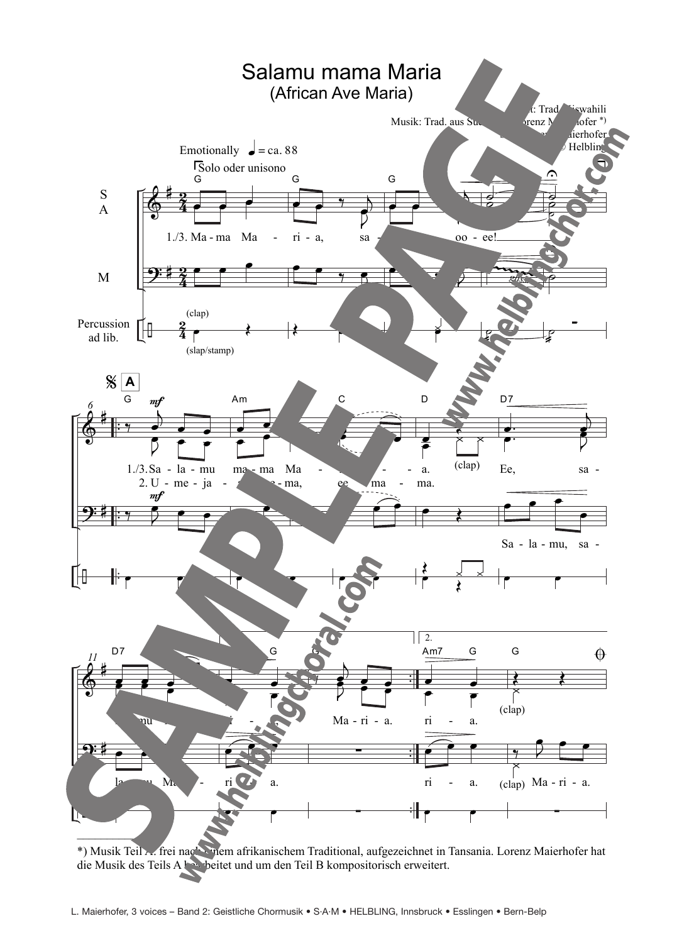

\*) Musik Teil A: frei nach einem afrikanischem Traditional, aufgezeichnet in Tansania. Lorenz Maierhofer hat die Musik des Teils A beitet und um den Teil B kompositorisch erweitert.